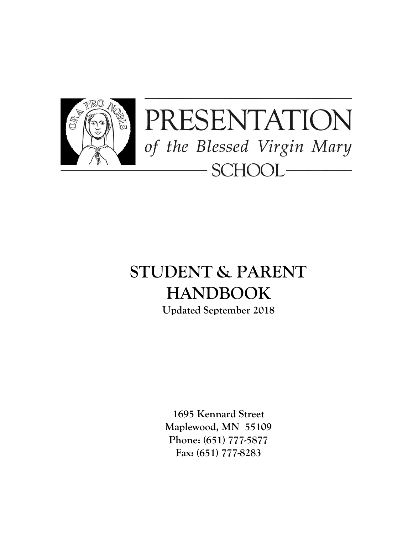

# **STUDENT & PARENT HANDBOOK**

**Updated September 2018**

**1695 Kennard Street Maplewood, MN 55109 Phone: (651) 777-5877 Fax: (651) 777-8283**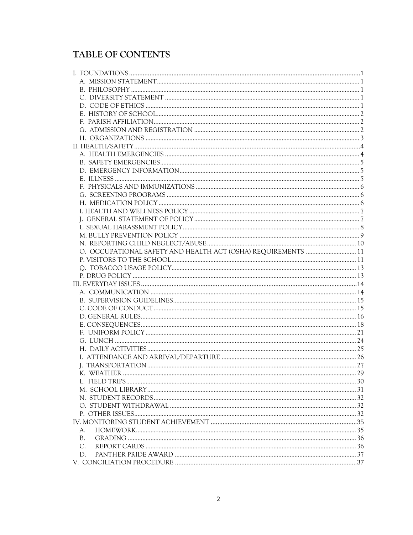## TABLE OF CONTENTS

| O. OCCUPATIONAL SAFETY AND HEALTH ACT (OSHA) REQUIREMENTS  11 |  |
|---------------------------------------------------------------|--|
|                                                               |  |
|                                                               |  |
|                                                               |  |
|                                                               |  |
|                                                               |  |
|                                                               |  |
|                                                               |  |
|                                                               |  |
|                                                               |  |
|                                                               |  |
|                                                               |  |
|                                                               |  |
|                                                               |  |
|                                                               |  |
|                                                               |  |
|                                                               |  |
|                                                               |  |
|                                                               |  |
|                                                               |  |
|                                                               |  |
|                                                               |  |
| A.                                                            |  |
| <b>B.</b>                                                     |  |
| $C_{\cdot}$                                                   |  |
| D.                                                            |  |
|                                                               |  |
|                                                               |  |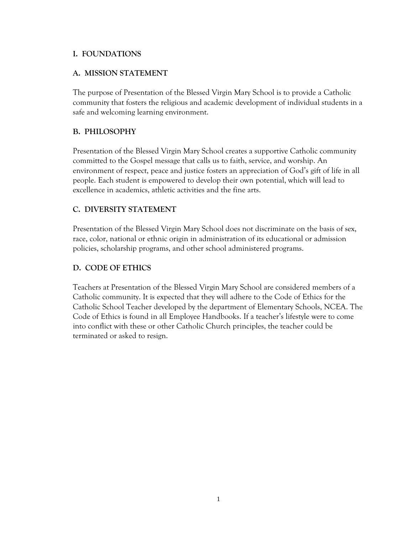### <span id="page-2-0"></span>**I. FOUNDATIONS**

## <span id="page-2-1"></span>**A. MISSION STATEMENT**

The purpose of Presentation of the Blessed Virgin Mary School is to provide a Catholic community that fosters the religious and academic development of individual students in a safe and welcoming learning environment.

## <span id="page-2-2"></span>**B. PHILOSOPHY**

Presentation of the Blessed Virgin Mary School creates a supportive Catholic community committed to the Gospel message that calls us to faith, service, and worship. An environment of respect, peace and justice fosters an appreciation of God's gift of life in all people. Each student is empowered to develop their own potential, which will lead to excellence in academics, athletic activities and the fine arts.

## <span id="page-2-3"></span>**C. DIVERSITY STATEMENT**

Presentation of the Blessed Virgin Mary School does not discriminate on the basis of sex, race, color, national or ethnic origin in administration of its educational or admission policies, scholarship programs, and other school administered programs.

## <span id="page-2-4"></span>**D. CODE OF ETHICS**

Teachers at Presentation of the Blessed Virgin Mary School are considered members of a Catholic community. It is expected that they will adhere to the Code of Ethics for the Catholic School Teacher developed by the department of Elementary Schools, NCEA. The Code of Ethics is found in all Employee Handbooks. If a teacher's lifestyle were to come into conflict with these or other Catholic Church principles, the teacher could be terminated or asked to resign.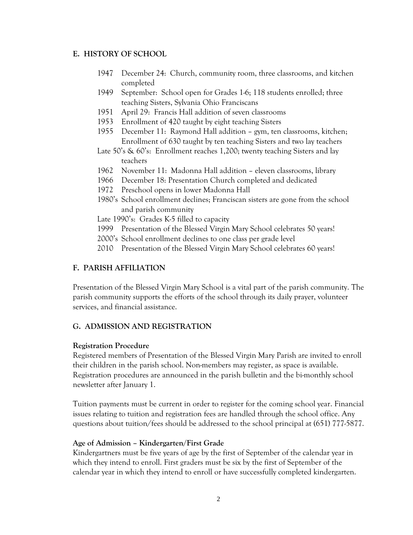#### <span id="page-3-0"></span>**E. HISTORY OF SCHOOL**

- 1947 December 24: Church, community room, three classrooms, and kitchen completed
- 1949 September: School open for Grades 1-6; 118 students enrolled; three teaching Sisters, Sylvania Ohio Franciscans
- 1951 April 29: Francis Hall addition of seven classrooms
- 1953 Enrollment of 420 taught by eight teaching Sisters
- 1955 December 11: Raymond Hall addition gym, ten classrooms, kitchen; Enrollment of 630 taught by ten teaching Sisters and two lay teachers
- Late 50's & 60's: Enrollment reaches 1,200; twenty teaching Sisters and lay teachers
- 1962 November 11: Madonna Hall addition eleven classrooms, library
- 1966 December 18: Presentation Church completed and dedicated
- 1972 Preschool opens in lower Madonna Hall
- 1980's School enrollment declines; Franciscan sisters are gone from the school and parish community
- Late 1990's: Grades K-5 filled to capacity
- 1999 Presentation of the Blessed Virgin Mary School celebrates 50 years!
- 2000's School enrollment declines to one class per grade level
- 2010 Presentation of the Blessed Virgin Mary School celebrates 60 years!

## <span id="page-3-1"></span>**F. PARISH AFFILIATION**

Presentation of the Blessed Virgin Mary School is a vital part of the parish community. The parish community supports the efforts of the school through its daily prayer, volunteer services, and financial assistance.

#### <span id="page-3-2"></span>**G. ADMISSION AND REGISTRATION**

#### **Registration Procedure**

Registered members of Presentation of the Blessed Virgin Mary Parish are invited to enroll their children in the parish school. Non-members may register, as space is available. Registration procedures are announced in the parish bulletin and the bi-monthly school newsletter after January 1.

Tuition payments must be current in order to register for the coming school year. Financial issues relating to tuition and registration fees are handled through the school office. Any questions about tuition/fees should be addressed to the school principal at (651) 777-5877.

#### **Age of Admission – Kindergarten/First Grade**

Kindergartners must be five years of age by the first of September of the calendar year in which they intend to enroll. First graders must be six by the first of September of the calendar year in which they intend to enroll or have successfully completed kindergarten.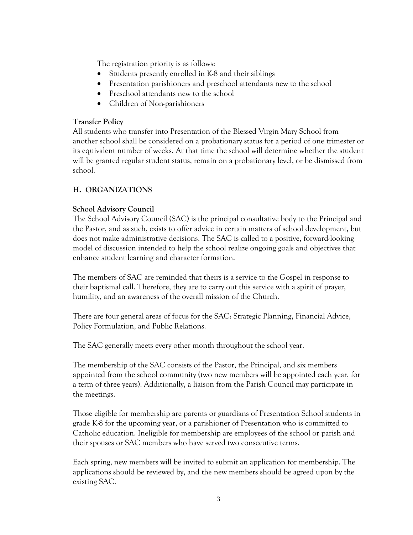The registration priority is as follows:

- Students presently enrolled in K-8 and their siblings
- Presentation parishioners and preschool attendants new to the school
- Preschool attendants new to the school
- Children of Non-parishioners

## **Transfer Policy**

All students who transfer into Presentation of the Blessed Virgin Mary School from another school shall be considered on a probationary status for a period of one trimester or its equivalent number of weeks. At that time the school will determine whether the student will be granted regular student status, remain on a probationary level, or be dismissed from school.

## <span id="page-4-0"></span>**H. ORGANIZATIONS**

## **School Advisory Council**

The School Advisory Council (SAC) is the principal consultative body to the Principal and the Pastor, and as such, exists to offer advice in certain matters of school development, but does not make administrative decisions. The SAC is called to a positive, forward-looking model of discussion intended to help the school realize ongoing goals and objectives that enhance student learning and character formation.

The members of SAC are reminded that theirs is a service to the Gospel in response to their baptismal call. Therefore, they are to carry out this service with a spirit of prayer, humility, and an awareness of the overall mission of the Church.

There are four general areas of focus for the SAC: Strategic Planning, Financial Advice, Policy Formulation, and Public Relations.

The SAC generally meets every other month throughout the school year.

The membership of the SAC consists of the Pastor, the Principal, and six members appointed from the school community (two new members will be appointed each year, for a term of three years). Additionally, a liaison from the Parish Council may participate in the meetings.

Those eligible for membership are parents or guardians of Presentation School students in grade K-8 for the upcoming year, or a parishioner of Presentation who is committed to Catholic education. Ineligible for membership are employees of the school or parish and their spouses or SAC members who have served two consecutive terms.

Each spring, new members will be invited to submit an application for membership. The applications should be reviewed by, and the new members should be agreed upon by the existing SAC.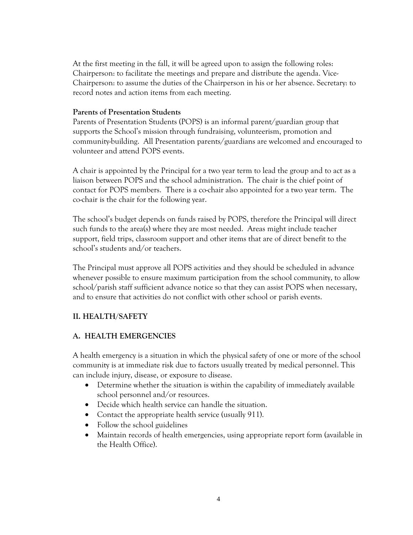At the first meeting in the fall, it will be agreed upon to assign the following roles: Chairperson: to facilitate the meetings and prepare and distribute the agenda. Vice-Chairperson: to assume the duties of the Chairperson in his or her absence. Secretary: to record notes and action items from each meeting.

#### **Parents of Presentation Students**

Parents of Presentation Students (POPS) is an informal parent/guardian group that supports the School's mission through fundraising, volunteerism, promotion and community-building. All Presentation parents/guardians are welcomed and encouraged to volunteer and attend POPS events.

A chair is appointed by the Principal for a two year term to lead the group and to act as a liaison between POPS and the school administration. The chair is the chief point of contact for POPS members. There is a co-chair also appointed for a two year term. The co-chair is the chair for the following year.

The school's budget depends on funds raised by POPS, therefore the Principal will direct such funds to the area(s) where they are most needed. Areas might include teacher support, field trips, classroom support and other items that are of direct benefit to the school's students and/or teachers.

The Principal must approve all POPS activities and they should be scheduled in advance whenever possible to ensure maximum participation from the school community, to allow school/parish staff sufficient advance notice so that they can assist POPS when necessary, and to ensure that activities do not conflict with other school or parish events.

## <span id="page-5-0"></span>**II. HEALTH/SAFETY**

#### <span id="page-5-1"></span>**A. HEALTH EMERGENCIES**

A health emergency is a situation in which the physical safety of one or more of the school community is at immediate risk due to factors usually treated by medical personnel. This can include injury, disease, or exposure to disease.

- Determine whether the situation is within the capability of immediately available school personnel and/or resources.
- Decide which health service can handle the situation.
- Contact the appropriate health service (usually 911).
- Follow the school guidelines
- Maintain records of health emergencies, using appropriate report form (available in the Health Office).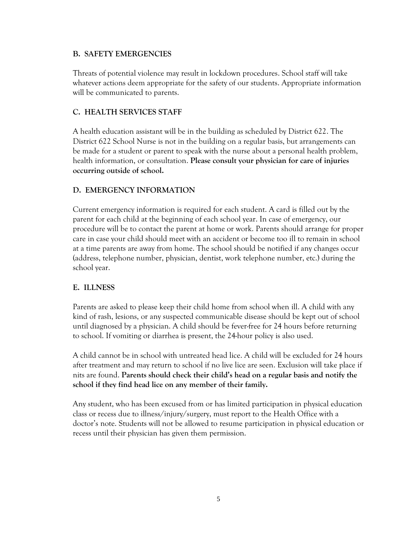## <span id="page-6-0"></span>**B. SAFETY EMERGENCIES**

Threats of potential violence may result in lockdown procedures. School staff will take whatever actions deem appropriate for the safety of our students. Appropriate information will be communicated to parents.

## **C. HEALTH SERVICES STAFF**

A health education assistant will be in the building as scheduled by District 622. The District 622 School Nurse is not in the building on a regular basis, but arrangements can be made for a student or parent to speak with the nurse about a personal health problem, health information, or consultation. **Please consult your physician for care of injuries occurring outside of school.**

## <span id="page-6-1"></span>**D. EMERGENCY INFORMATION**

Current emergency information is required for each student. A card is filled out by the parent for each child at the beginning of each school year. In case of emergency, our procedure will be to contact the parent at home or work. Parents should arrange for proper care in case your child should meet with an accident or become too ill to remain in school at a time parents are away from home. The school should be notified if any changes occur (address, telephone number, physician, dentist, work telephone number, etc.) during the school year.

## <span id="page-6-2"></span>**E. ILLNESS**

Parents are asked to please keep their child home from school when ill. A child with any kind of rash, lesions, or any suspected communicable disease should be kept out of school until diagnosed by a physician. A child should be fever-free for 24 hours before returning to school. If vomiting or diarrhea is present, the 24-hour policy is also used.

A child cannot be in school with untreated head lice. A child will be excluded for 24 hours after treatment and may return to school if no live lice are seen. Exclusion will take place if nits are found. **Parents should check their child's head on a regular basis and notify the school if they find head lice on any member of their family.**

Any student, who has been excused from or has limited participation in physical education class or recess due to illness/injury/surgery, must report to the Health Office with a doctor's note. Students will not be allowed to resume participation in physical education or recess until their physician has given them permission.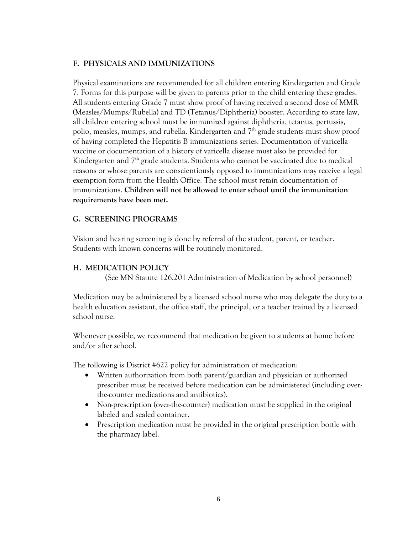## <span id="page-7-0"></span>**F. PHYSICALS AND IMMUNIZATIONS**

Physical examinations are recommended for all children entering Kindergarten and Grade 7. Forms for this purpose will be given to parents prior to the child entering these grades. All students entering Grade 7 must show proof of having received a second dose of MMR (Measles/Mumps/Rubella) and TD (Tetanus/Diphtheria) booster. According to state law, all children entering school must be immunized against diphtheria, tetanus, pertussis, polio, measles, mumps, and rubella. Kindergarten and 7<sup>th</sup> grade students must show proof of having completed the Hepatitis B immunizations series. Documentation of varicella vaccine or documentation of a history of varicella disease must also be provided for Kindergarten and  $7<sup>th</sup>$  grade students. Students who cannot be vaccinated due to medical reasons or whose parents are conscientiously opposed to immunizations may receive a legal exemption form from the Health Office. The school must retain documentation of immunizations. **Children will not be allowed to enter school until the immunization requirements have been met.**

## <span id="page-7-1"></span>**G. SCREENING PROGRAMS**

Vision and hearing screening is done by referral of the student, parent, or teacher. Students with known concerns will be routinely monitored.

#### <span id="page-7-2"></span>**H. MEDICATION POLICY**

(See MN Statute 126.201 Administration of Medication by school personnel)

Medication may be administered by a licensed school nurse who may delegate the duty to a health education assistant, the office staff, the principal, or a teacher trained by a licensed school nurse.

Whenever possible, we recommend that medication be given to students at home before and/or after school.

The following is District #622 policy for administration of medication:

- Written authorization from both parent/guardian and physician or authorized prescriber must be received before medication can be administered (including overthe-counter medications and antibiotics).
- Non-prescription (over-the-counter) medication must be supplied in the original labeled and sealed container.
- Prescription medication must be provided in the original prescription bottle with the pharmacy label.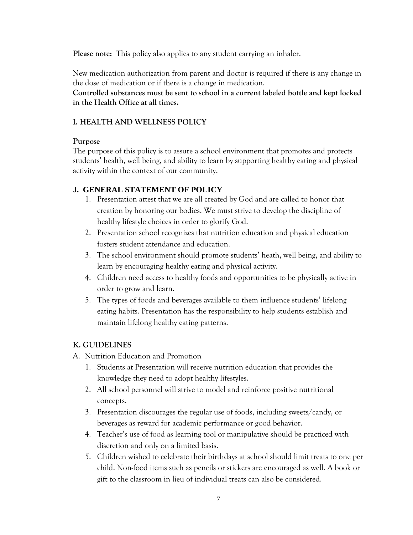**Please note:** This policy also applies to any student carrying an inhaler.

New medication authorization from parent and doctor is required if there is any change in the dose of medication or if there is a change in medication.

**Controlled substances must be sent to school in a current labeled bottle and kept locked in the Health Office at all times.**

## <span id="page-8-0"></span>**I. HEALTH AND WELLNESS POLICY**

## **Purpose**

The purpose of this policy is to assure a school environment that promotes and protects students' health, well being, and ability to learn by supporting healthy eating and physical activity within the context of our community.

## <span id="page-8-1"></span>**J. GENERAL STATEMENT OF POLICY**

- 1. Presentation attest that we are all created by God and are called to honor that creation by honoring our bodies. We must strive to develop the discipline of healthy lifestyle choices in order to glorify God.
- 2. Presentation school recognizes that nutrition education and physical education fosters student attendance and education.
- 3. The school environment should promote students' heath, well being, and ability to learn by encouraging healthy eating and physical activity.
- 4. Children need access to healthy foods and opportunities to be physically active in order to grow and learn.
- 5. The types of foods and beverages available to them influence students' lifelong eating habits. Presentation has the responsibility to help students establish and maintain lifelong healthy eating patterns.

## **K. GUIDELINES**

- A. Nutrition Education and Promotion
	- 1. Students at Presentation will receive nutrition education that provides the knowledge they need to adopt healthy lifestyles.
	- 2. All school personnel will strive to model and reinforce positive nutritional concepts.
	- 3. Presentation discourages the regular use of foods, including sweets/candy, or beverages as reward for academic performance or good behavior.
	- 4. Teacher's use of food as learning tool or manipulative should be practiced with discretion and only on a limited basis.
	- 5. Children wished to celebrate their birthdays at school should limit treats to one per child. Non-food items such as pencils or stickers are encouraged as well. A book or gift to the classroom in lieu of individual treats can also be considered.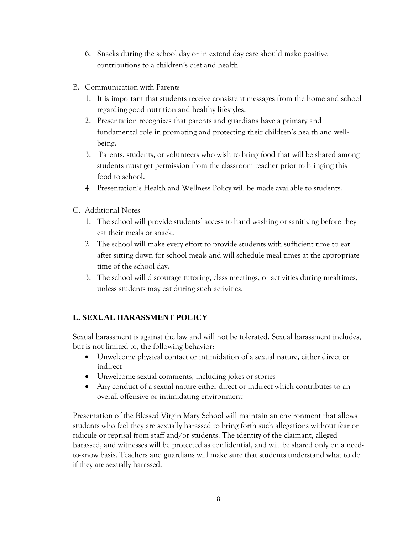- 6. Snacks during the school day or in extend day care should make positive contributions to a children's diet and health.
- B. Communication with Parents
	- 1. It is important that students receive consistent messages from the home and school regarding good nutrition and healthy lifestyles.
	- 2. Presentation recognizes that parents and guardians have a primary and fundamental role in promoting and protecting their children's health and wellbeing.
	- 3. Parents, students, or volunteers who wish to bring food that will be shared among students must get permission from the classroom teacher prior to bringing this food to school.
	- 4. Presentation's Health and Wellness Policy will be made available to students.
- C. Additional Notes
	- 1. The school will provide students' access to hand washing or sanitizing before they eat their meals or snack.
	- 2. The school will make every effort to provide students with sufficient time to eat after sitting down for school meals and will schedule meal times at the appropriate time of the school day.
	- 3. The school will discourage tutoring, class meetings, or activities during mealtimes, unless students may eat during such activities.

## <span id="page-9-0"></span>**L. SEXUAL HARASSMENT POLICY**

Sexual harassment is against the law and will not be tolerated. Sexual harassment includes, but is not limited to, the following behavior:

- Unwelcome physical contact or intimidation of a sexual nature, either direct or indirect
- Unwelcome sexual comments, including jokes or stories
- Any conduct of a sexual nature either direct or indirect which contributes to an overall offensive or intimidating environment

Presentation of the Blessed Virgin Mary School will maintain an environment that allows students who feel they are sexually harassed to bring forth such allegations without fear or ridicule or reprisal from staff and/or students. The identity of the claimant, alleged harassed, and witnesses will be protected as confidential, and will be shared only on a needto-know basis. Teachers and guardians will make sure that students understand what to do if they are sexually harassed.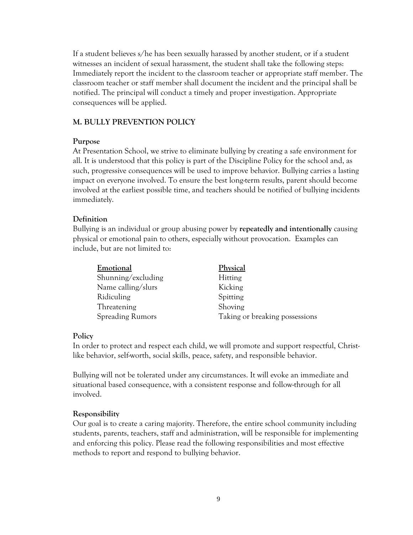If a student believes s/he has been sexually harassed by another student, or if a student witnesses an incident of sexual harassment, the student shall take the following steps: Immediately report the incident to the classroom teacher or appropriate staff member. The classroom teacher or staff member shall document the incident and the principal shall be notified. The principal will conduct a timely and proper investigation. Appropriate consequences will be applied.

#### <span id="page-10-0"></span>**M. BULLY PREVENTION POLICY**

#### **Purpose**

At Presentation School, we strive to eliminate bullying by creating a safe environment for all. It is understood that this policy is part of the Discipline Policy for the school and, as such, progressive consequences will be used to improve behavior. Bullying carries a lasting impact on everyone involved. To ensure the best long-term results, parent should become involved at the earliest possible time, and teachers should be notified of bullying incidents immediately.

#### **Definition**

Bullying is an individual or group abusing power by **repeatedly and intentionally** causing physical or emotional pain to others, especially without provocation. Examples can include, but are not limited to:

| Emotional               | Physical                       |
|-------------------------|--------------------------------|
| Shunning/excluding      | <b>Hitting</b>                 |
| Name calling/slurs      | Kicking                        |
| Ridiculing              | Spitting                       |
| Threatening             | Shoving                        |
| <b>Spreading Rumors</b> | Taking or breaking possessions |

#### **Policy**

In order to protect and respect each child, we will promote and support respectful, Christlike behavior, self-worth, social skills, peace, safety, and responsible behavior.

Bullying will not be tolerated under any circumstances. It will evoke an immediate and situational based consequence, with a consistent response and follow-through for all involved.

#### **Responsibility**

Our goal is to create a caring majority. Therefore, the entire school community including students, parents, teachers, staff and administration, will be responsible for implementing and enforcing this policy. Please read the following responsibilities and most effective methods to report and respond to bullying behavior.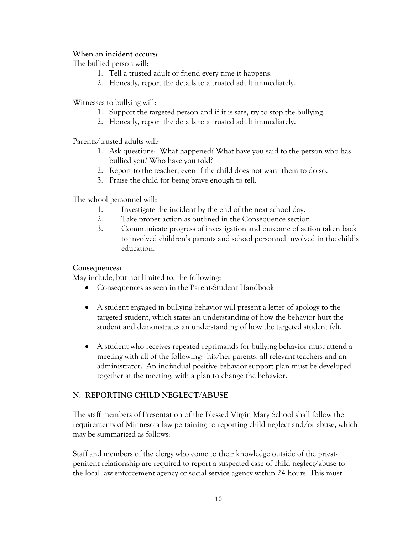## **When an incident occurs:**

The bullied person will:

- 1. Tell a trusted adult or friend every time it happens.
- 2. Honestly, report the details to a trusted adult immediately.

Witnesses to bullying will:

- 1. Support the targeted person and if it is safe, try to stop the bullying.
- 2. Honestly, report the details to a trusted adult immediately.

Parents/trusted adults will:

- 1. Ask questions: What happened? What have you said to the person who has bullied you? Who have you told?
- 2. Report to the teacher, even if the child does not want them to do so.
- 3. Praise the child for being brave enough to tell.

The school personnel will:

- 1. Investigate the incident by the end of the next school day.
- 2. Take proper action as outlined in the Consequence section.
- 3. Communicate progress of investigation and outcome of action taken back to involved children's parents and school personnel involved in the child's education.

#### **Consequences:**

May include, but not limited to, the following:

- Consequences as seen in the Parent-Student Handbook
- A student engaged in bullying behavior will present a letter of apology to the targeted student, which states an understanding of how the behavior hurt the student and demonstrates an understanding of how the targeted student felt.
- A student who receives repeated reprimands for bullying behavior must attend a meeting with all of the following: his/her parents, all relevant teachers and an administrator. An individual positive behavior support plan must be developed together at the meeting, with a plan to change the behavior.

## <span id="page-11-0"></span>**N. REPORTING CHILD NEGLECT/ABUSE**

The staff members of Presentation of the Blessed Virgin Mary School shall follow the requirements of Minnesota law pertaining to reporting child neglect and/or abuse, which may be summarized as follows:

Staff and members of the clergy who come to their knowledge outside of the priestpenitent relationship are required to report a suspected case of child neglect/abuse to the local law enforcement agency or social service agency within 24 hours. This must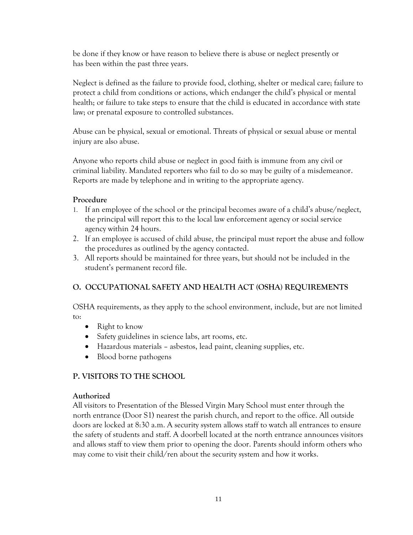be done if they know or have reason to believe there is abuse or neglect presently or has been within the past three years.

Neglect is defined as the failure to provide food, clothing, shelter or medical care; failure to protect a child from conditions or actions, which endanger the child's physical or mental health; or failure to take steps to ensure that the child is educated in accordance with state law; or prenatal exposure to controlled substances.

Abuse can be physical, sexual or emotional. Threats of physical or sexual abuse or mental injury are also abuse.

Anyone who reports child abuse or neglect in good faith is immune from any civil or criminal liability. Mandated reporters who fail to do so may be guilty of a misdemeanor. Reports are made by telephone and in writing to the appropriate agency.

## **Procedure**

- 1. If an employee of the school or the principal becomes aware of a child's abuse/neglect, the principal will report this to the local law enforcement agency or social service agency within 24 hours.
- 2. If an employee is accused of child abuse, the principal must report the abuse and follow the procedures as outlined by the agency contacted.
- 3. All reports should be maintained for three years, but should not be included in the student's permanent record file.

## <span id="page-12-0"></span>**O. OCCUPATIONAL SAFETY AND HEALTH ACT (OSHA) REQUIREMENTS**

OSHA requirements, as they apply to the school environment, include, but are not limited to:

- Right to know
- Safety guidelines in science labs, art rooms, etc.
- Hazardous materials asbestos, lead paint, cleaning supplies, etc.
- Blood borne pathogens

## <span id="page-12-1"></span>**P. VISITORS TO THE SCHOOL**

## **Authorized**

All visitors to Presentation of the Blessed Virgin Mary School must enter through the north entrance (Door S1) nearest the parish church, and report to the office. All outside doors are locked at 8:30 a.m. A security system allows staff to watch all entrances to ensure the safety of students and staff. A doorbell located at the north entrance announces visitors and allows staff to view them prior to opening the door. Parents should inform others who may come to visit their child/ren about the security system and how it works.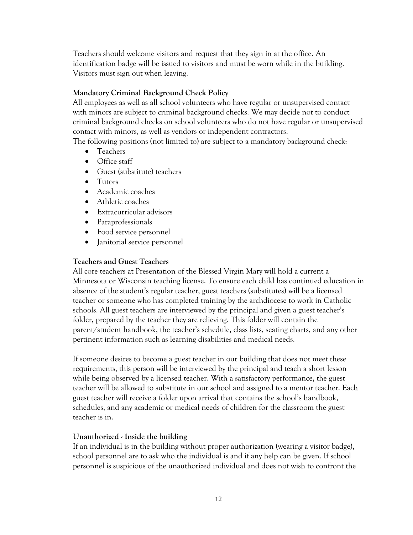Teachers should welcome visitors and request that they sign in at the office. An identification badge will be issued to visitors and must be worn while in the building. Visitors must sign out when leaving.

## **Mandatory Criminal Background Check Policy**

All employees as well as all school volunteers who have regular or unsupervised contact with minors are subject to criminal background checks. We may decide not to conduct criminal background checks on school volunteers who do not have regular or unsupervised contact with minors, as well as vendors or independent contractors.

The following positions (not limited to) are subject to a mandatory background check:

- Teachers
- Office staff
- Guest (substitute) teachers
- Tutors
- Academic coaches
- Athletic coaches
- Extracurricular advisors
- Paraprofessionals
- Food service personnel
- Janitorial service personnel

## **Teachers and Guest Teachers**

All core teachers at Presentation of the Blessed Virgin Mary will hold a current a Minnesota or Wisconsin teaching license. To ensure each child has continued education in absence of the student's regular teacher, guest teachers (substitutes) will be a licensed teacher or someone who has completed training by the archdiocese to work in Catholic schools. All guest teachers are interviewed by the principal and given a guest teacher's folder, prepared by the teacher they are relieving. This folder will contain the parent/student handbook, the teacher's schedule, class lists, seating charts, and any other pertinent information such as learning disabilities and medical needs.

If someone desires to become a guest teacher in our building that does not meet these requirements, this person will be interviewed by the principal and teach a short lesson while being observed by a licensed teacher. With a satisfactory performance, the guest teacher will be allowed to substitute in our school and assigned to a mentor teacher. Each guest teacher will receive a folder upon arrival that contains the school's handbook, schedules, and any academic or medical needs of children for the classroom the guest teacher is in.

## **Unauthorized - Inside the building**

If an individual is in the building without proper authorization (wearing a visitor badge), school personnel are to ask who the individual is and if any help can be given. If school personnel is suspicious of the unauthorized individual and does not wish to confront the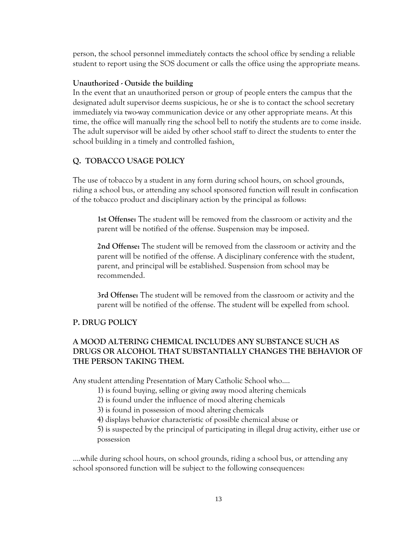person, the school personnel immediately contacts the school office by sending a reliable student to report using the SOS document or calls the office using the appropriate means.

#### **Unauthorized - Outside the building**

In the event that an unauthorized person or group of people enters the campus that the designated adult supervisor deems suspicious, he or she is to contact the school secretary immediately via two-way communication device or any other appropriate means. At this time, the office will manually ring the school bell to notify the students are to come inside. The adult supervisor will be aided by other school staff to direct the students to enter the school building in a timely and controlled fashion.

## <span id="page-14-0"></span>**Q. TOBACCO USAGE POLICY**

The use of tobacco by a student in any form during school hours, on school grounds, riding a school bus, or attending any school sponsored function will result in confiscation of the tobacco product and disciplinary action by the principal as follows:

**1st Offense:** The student will be removed from the classroom or activity and the parent will be notified of the offense. Suspension may be imposed.

**2nd Offense:** The student will be removed from the classroom or activity and the parent will be notified of the offense. A disciplinary conference with the student, parent, and principal will be established. Suspension from school may be recommended.

**3rd Offense:** The student will be removed from the classroom or activity and the parent will be notified of the offense. The student will be expelled from school.

## <span id="page-14-1"></span>**P. DRUG POLICY**

## **A MOOD ALTERING CHEMICAL INCLUDES ANY SUBSTANCE SUCH AS DRUGS OR ALCOHOL THAT SUBSTANTIALLY CHANGES THE BEHAVIOR OF THE PERSON TAKING THEM.**

Any student attending Presentation of Mary Catholic School who....

1) is found buying, selling or giving away mood altering chemicals

2) is found under the influence of mood altering chemicals

3) is found in possession of mood altering chemicals

4) displays behavior characteristic of possible chemical abuse or

5) is suspected by the principal of participating in illegal drug activity, either use or possession

….while during school hours, on school grounds, riding a school bus, or attending any school sponsored function will be subject to the following consequences: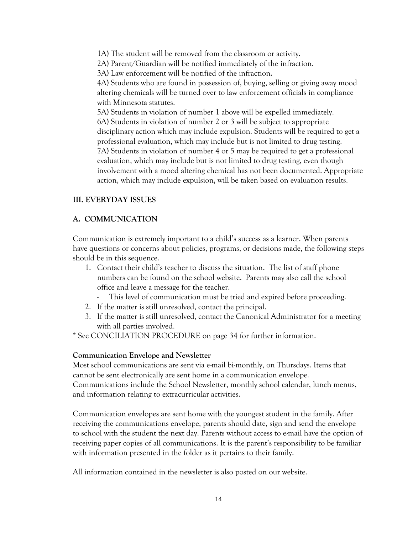1A) The student will be removed from the classroom or activity. 2A) Parent/Guardian will be notified immediately of the infraction. 3A) Law enforcement will be notified of the infraction. 4A) Students who are found in possession of, buying, selling or giving away mood

altering chemicals will be turned over to law enforcement officials in compliance with Minnesota statutes.

5A) Students in violation of number 1 above will be expelled immediately. 6A) Students in violation of number 2 or 3 will be subject to appropriate disciplinary action which may include expulsion. Students will be required to get a professional evaluation, which may include but is not limited to drug testing. 7A) Students in violation of number 4 or 5 may be required to get a professional evaluation, which may include but is not limited to drug testing, even though involvement with a mood altering chemical has not been documented. Appropriate action, which may include expulsion, will be taken based on evaluation results.

#### <span id="page-15-0"></span>**III. EVERYDAY ISSUES**

#### <span id="page-15-1"></span>**A. COMMUNICATION**

Communication is extremely important to a child's success as a learner. When parents have questions or concerns about policies, programs, or decisions made, the following steps should be in this sequence.

- 1. Contact their child's teacher to discuss the situation. The list of staff phone numbers can be found on the school website. Parents may also call the school office and leave a message for the teacher.
	- This level of communication must be tried and expired before proceeding.
- 2. If the matter is still unresolved, contact the principal.
- 3. If the matter is still unresolved, contact the Canonical Administrator for a meeting with all parties involved.
- \* See CONCILIATION PROCEDURE on page 34 for further information.

#### **Communication Envelope and Newsletter**

Most school communications are sent via e-mail bi-monthly, on Thursdays. Items that cannot be sent electronically are sent home in a communication envelope. Communications include the School Newsletter, monthly school calendar, lunch menus, and information relating to extracurricular activities.

Communication envelopes are sent home with the youngest student in the family. After receiving the communications envelope, parents should date, sign and send the envelope to school with the student the next day. Parents without access to e-mail have the option of receiving paper copies of all communications. It is the parent's responsibility to be familiar with information presented in the folder as it pertains to their family.

All information contained in the newsletter is also posted on our website.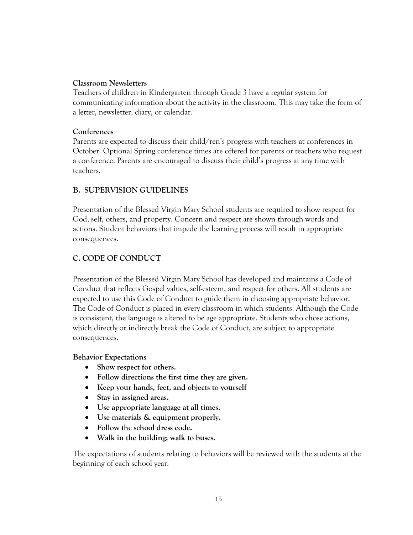### **Classroom Newsletters**

Teachers of children in Kindergarten through Grade 3 have a regular system for communicating information about the activity in the classroom. This may take the form of a letter, newsletter, diary, or calendar.

## **Conferences**

Parents are expected to discuss their child/ren's progress with teachers at conferences in October. Optional Spring conference times are offered for parents or teachers who request a conference. Parents are encouraged to discuss their child's progress at any time with teachers.

## <span id="page-16-0"></span>**B. SUPERVISION GUIDELINES**

Presentation of the Blessed Virgin Mary School students are required to show respect for God, self, others, and property. Concern and respect are shown through words and actions. Student behaviors that impede the learning process will result in appropriate consequences.

## <span id="page-16-1"></span>**C. CODE OF CONDUCT**

Presentation of the Blessed Virgin Mary School has developed and maintains a Code of Conduct that reflects Gospel values, self-esteem, and respect for others. All students are expected to use this Code of Conduct to guide them in choosing appropriate behavior. The Code of Conduct is placed in every classroom in which students. Although the Code is consistent, the language is altered to be age appropriate. Students who chose actions, which directly or indirectly break the Code of Conduct, are subject to appropriate consequences.

#### **Behavior Expectations**

- Show respect for others.
- **Follow directions the first time they are given.**
- **Keep your hands, feet, and objects to yourself**
- **Stay in assigned areas.**
- **Use appropriate language at all times.**
- **Use materials & equipment properly.**
- **Follow the school dress code.**
- **Walk in the building; walk to buses.**

The expectations of students relating to behaviors will be reviewed with the students at the beginning of each school year.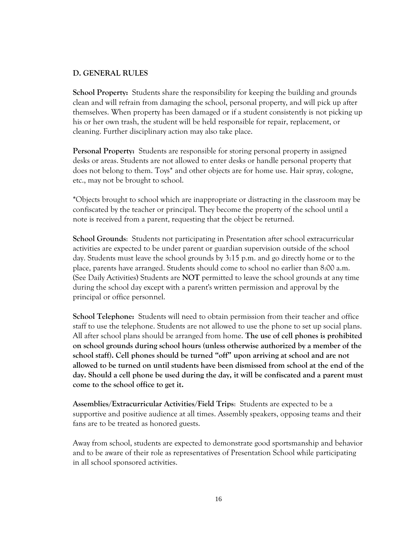#### <span id="page-17-0"></span>**D. GENERAL RULES**

**School Property:** Students share the responsibility for keeping the building and grounds clean and will refrain from damaging the school, personal property, and will pick up after themselves. When property has been damaged or if a student consistently is not picking up his or her own trash, the student will be held responsible for repair, replacement, or cleaning. Further disciplinary action may also take place.

**Personal Property:** Students are responsible for storing personal property in assigned desks or areas. Students are not allowed to enter desks or handle personal property that does not belong to them. Toys\* and other objects are for home use. Hair spray, cologne, etc., may not be brought to school.

**\***Objects brought to school which are inappropriate or distracting in the classroom may be confiscated by the teacher or principal. They become the property of the school until a note is received from a parent, requesting that the object be returned.

**School Grounds**: Students not participating in Presentation after school extracurricular activities are expected to be under parent or guardian supervision outside of the school day. Students must leave the school grounds by 3:15 p.m. and go directly home or to the place, parents have arranged. Students should come to school no earlier than 8:00 a.m. (See Daily Activities) Students are **NOT** permitted to leave the school grounds at any time during the school day except with a parent's written permission and approval by the principal or office personnel.

**School Telephone:** Students will need to obtain permission from their teacher and office staff to use the telephone. Students are not allowed to use the phone to set up social plans. All after school plans should be arranged from home. **The use of cell phones is prohibited on school grounds during school hours (unless otherwise authorized by a member of the school staff). Cell phones should be turned "off" upon arriving at school and are not allowed to be turned on until students have been dismissed from school at the end of the day. Should a cell phone be used during the day, it will be confiscated and a parent must come to the school office to get it.**

**Assemblies/Extracurricular Activities/Field Trips**: Students are expected to be a supportive and positive audience at all times. Assembly speakers, opposing teams and their fans are to be treated as honored guests.

Away from school, students are expected to demonstrate good sportsmanship and behavior and to be aware of their role as representatives of Presentation School while participating in all school sponsored activities.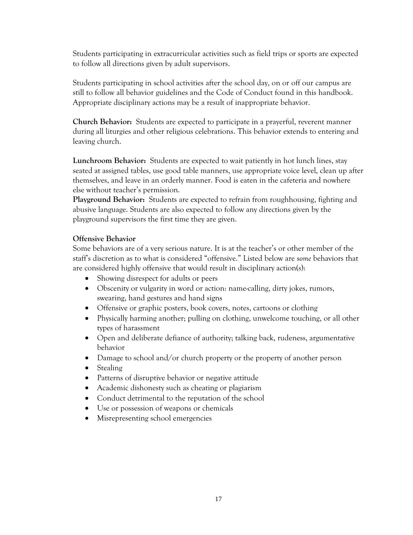Students participating in extracurricular activities such as field trips or sports are expected to follow all directions given by adult supervisors.

Students participating in school activities after the school day, on or off our campus are still to follow all behavior guidelines and the Code of Conduct found in this handbook. Appropriate disciplinary actions may be a result of inappropriate behavior.

**Church Behavior:** Students are expected to participate in a prayerful, reverent manner during all liturgies and other religious celebrations. This behavior extends to entering and leaving church.

**Lunchroom Behavior:** Students are expected to wait patiently in hot lunch lines, stay seated at assigned tables, use good table manners, use appropriate voice level, clean up after themselves, and leave in an orderly manner. Food is eaten in the cafeteria and nowhere else without teacher's permission.

**Playground Behavior:** Students are expected to refrain from roughhousing, fighting and abusive language. Students are also expected to follow any directions given by the playground supervisors the first time they are given.

#### **Offensive Behavior**

Some behaviors are of a very serious nature. It is at the teacher's or other member of the staff's discretion as to what is considered "offensive." Listed below are s*ome* behaviors that are considered highly offensive that would result in disciplinary action(s):

- Showing disrespect for adults or peers
- Obscenity or vulgarity in word or action: name-calling, dirty jokes, rumors, swearing, hand gestures and hand signs
- Offensive or graphic posters, book covers, notes, cartoons or clothing
- Physically harming another; pulling on clothing, unwelcome touching, or all other types of harassment
- Open and deliberate defiance of authority; talking back, rudeness, argumentative behavior
- Damage to school and/or church property or the property of another person
- Stealing
- Patterns of disruptive behavior or negative attitude
- Academic dishonesty such as cheating or plagiarism
- Conduct detrimental to the reputation of the school
- Use or possession of weapons or chemicals
- Misrepresenting school emergencies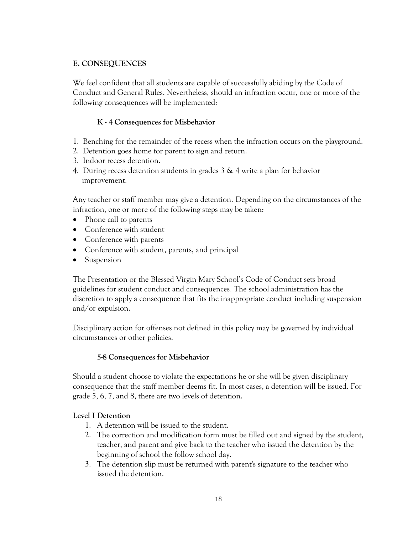## <span id="page-19-0"></span>**E. CONSEQUENCES**

We feel confident that all students are capable of successfully abiding by the Code of Conduct and General Rules. Nevertheless, should an infraction occur, one or more of the following consequences will be implemented:

## **K - 4 Consequences for Misbehavior**

- 1. Benching for the remainder of the recess when the infraction occurs on the playground.
- 2. Detention goes home for parent to sign and return.
- 3. Indoor recess detention.
- 4. During recess detention students in grades 3 & 4 write a plan for behavior improvement.

Any teacher or staff member may give a detention. Depending on the circumstances of the infraction, one or more of the following steps may be taken:

- Phone call to parents
- Conference with student
- Conference with parents
- Conference with student, parents, and principal
- Suspension

The Presentation or the Blessed Virgin Mary School's Code of Conduct sets broad guidelines for student conduct and consequences. The school administration has the discretion to apply a consequence that fits the inappropriate conduct including suspension and/or expulsion.

Disciplinary action for offenses not defined in this policy may be governed by individual circumstances or other policies.

## **5-8 Consequences for Misbehavior**

Should a student choose to violate the expectations he or she will be given disciplinary consequence that the staff member deems fit. In most cases, a detention will be issued. For grade 5, 6, 7, and 8, there are two levels of detention.

## **Level I Detention**

- 1. A detention will be issued to the student.
- 2. The correction and modification form must be filled out and signed by the student, teacher, and parent and give back to the teacher who issued the detention by the beginning of school the follow school day.
- 3. The detention slip must be returned with parent's signature to the teacher who issued the detention.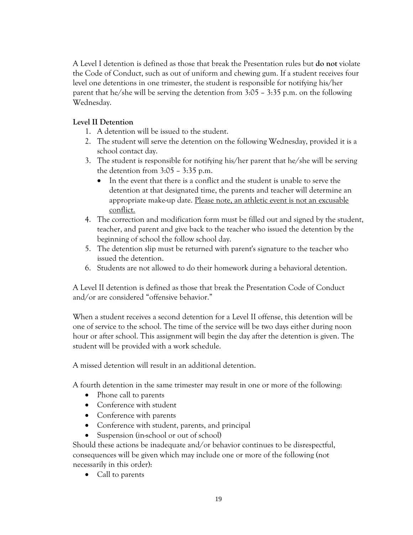A Level I detention is defined as those that break the Presentation rules but **do not** violate the Code of Conduct, such as out of uniform and chewing gum. If a student receives four level one detentions in one trimester, the student is responsible for notifying his/her parent that he/she will be serving the detention from 3:05 – 3:35 p.m. on the following Wednesday.

## **Level II Detention**

- 1. A detention will be issued to the student.
- 2. The student will serve the detention on the following Wednesday, provided it is a school contact day.
- 3. The student is responsible for notifying his/her parent that he/she will be serving the detention from 3:05 – 3:35 p.m.
	- In the event that there is a conflict and the student is unable to serve the detention at that designated time, the parents and teacher will determine an appropriate make-up date. Please note, an athletic event is not an excusable conflict.
- 4. The correction and modification form must be filled out and signed by the student, teacher, and parent and give back to the teacher who issued the detention by the beginning of school the follow school day.
- 5. The detention slip must be returned with parent's signature to the teacher who issued the detention.
- 6. Students are not allowed to do their homework during a behavioral detention.

A Level II detention is defined as those that break the Presentation Code of Conduct and/or are considered "offensive behavior."

When a student receives a second detention for a Level II offense, this detention will be one of service to the school. The time of the service will be two days either during noon hour or after school. This assignment will begin the day after the detention is given. The student will be provided with a work schedule.

A missed detention will result in an additional detention.

A fourth detention in the same trimester may result in one or more of the following:

- Phone call to parents
- Conference with student
- Conference with parents
- Conference with student, parents, and principal
- Suspension (in-school or out of school)

Should these actions be inadequate and/or behavior continues to be disrespectful, consequences will be given which may include one or more of the following (not necessarily in this order):

• Call to parents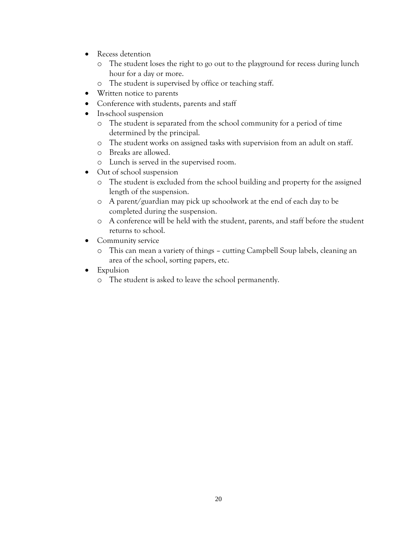- Recess detention
	- o The student loses the right to go out to the playground for recess during lunch hour for a day or more.
	- o The student is supervised by office or teaching staff.
- Written notice to parents
- Conference with students, parents and staff
- In-school suspension
	- o The student is separated from the school community for a period of time determined by the principal.
	- o The student works on assigned tasks with supervision from an adult on staff.
	- o Breaks are allowed.
	- o Lunch is served in the supervised room.
- Out of school suspension
	- o The student is excluded from the school building and property for the assigned length of the suspension.
	- o A parent/guardian may pick up schoolwork at the end of each day to be completed during the suspension.
	- o A conference will be held with the student, parents, and staff before the student returns to school.
- Community service
	- o This can mean a variety of things cutting Campbell Soup labels, cleaning an area of the school, sorting papers, etc.
- Expulsion
	- o The student is asked to leave the school permanently.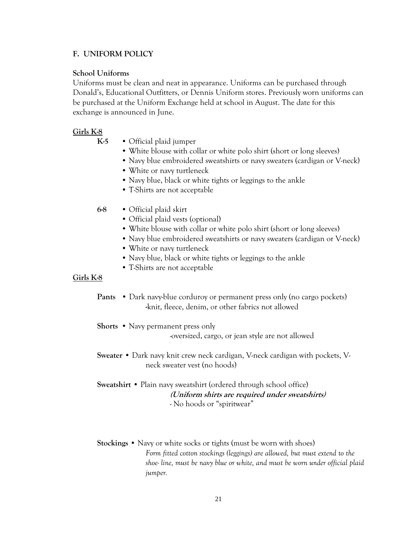## <span id="page-22-0"></span>**F. UNIFORM POLICY**

#### **School Uniforms**

Uniforms must be clean and neat in appearance. Uniforms can be purchased through Donald's, Educational Outfitters, or Dennis Uniform stores. Previously worn uniforms can be purchased at the Uniform Exchange held at school in August. The date for this exchange is announced in June.

#### **Girls K-8**

- **K-5** Official plaid jumper
	- White blouse with collar or white polo shirt (short or long sleeves)
	- Navy blue embroidered sweatshirts or navy sweaters (cardigan or V-neck)
	- White or navy turtleneck
	- Navy blue, black or white tights or leggings to the ankle
	- T-Shirts are not acceptable
- **6-8** Official plaid skirt
	- Official plaid vests (optional)
	- White blouse with collar or white polo shirt (short or long sleeves)
	- Navy blue embroidered sweatshirts or navy sweaters (cardigan or V-neck)
	- White or navy turtleneck
	- Navy blue, black or white tights or leggings to the ankle
	- T-Shirts are not acceptable

#### **Girls K-8**

- **Pants** Dark navy-blue corduroy or permanent press only (no cargo pockets) **-**knit, fleece, denim, or other fabrics not allowed
- **Shorts** Navy permanent press only -oversized, cargo, or jean style are not allowed
- **Sweater** Dark navy knit crew neck cardigan, V-neck cardigan with pockets, Vneck sweater vest (no hoods)

#### **Sweatshirt** • Plain navy sweatshirt (ordered through school office) **(Uniform shirts are required under sweatshirts)** - No hoods or "spiritwear"

**Stockings** • Navy or white socks or tights (must be worn with shoes) *Form fitted cotton stockings (leggings) are allowed, but must extend to the shoe- line, must be navy blue or white, and must be worn under official plaid jumper.*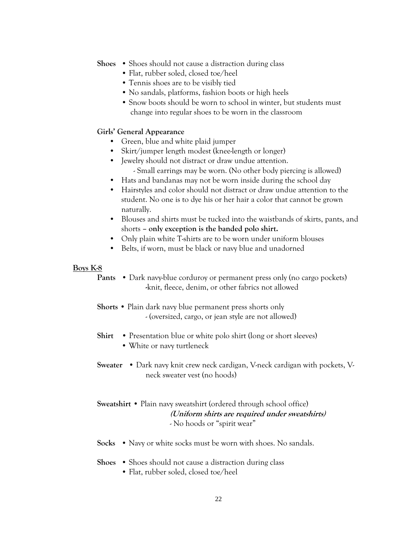- **Shoes** Shoes should not cause a distraction during class
	- Flat, rubber soled, closed toe/heel
	- Tennis shoes are to be visibly tied
	- No sandals, platforms, fashion boots or high heels
	- Snow boots should be worn to school in winter, but students must change into regular shoes to be worn in the classroom

#### **Girls' General Appearance**

- Green, blue and white plaid jumper
- Skirt/jumper length modest (knee-length or longer)
- Jewelry should not distract or draw undue attention. - Small earrings may be worn. (No other body piercing is allowed)
- Hats and bandanas may not be worn inside during the school day
- Hairstyles and color should not distract or draw undue attention to the student. No one is to dye his or her hair a color that cannot be grown naturally.
- Blouses and shirts must be tucked into the waistbands of skirts, pants, and shorts **– only exception is the banded polo shirt.**
- Only plain white T-shirts are to be worn under uniform blouses
- Belts, if worn, must be black or navy blue and unadorned

#### **Boys K-8**

- **Pants** Dark navy-blue corduroy or permanent press only (no cargo pockets) **-**knit, fleece, denim, or other fabrics not allowed
- **Shorts** Plain dark navy blue permanent press shorts only - (oversized, cargo, or jean style are not allowed)
- **Shirt** Presentation blue or white polo shirt (long or short sleeves)
	- White or navy turtleneck
- **Sweater** Dark navy knit crew neck cardigan, V-neck cardigan with pockets, Vneck sweater vest (no hoods)

## **Sweatshirt** • Plain navy sweatshirt (ordered through school office) **(Uniform shirts are required under sweatshirts)** - No hoods or "spirit wear"

- **Socks** Navy or white socks must be worn with shoes. No sandals.
- **Shoes** Shoes should not cause a distraction during class
	- Flat, rubber soled, closed toe/heel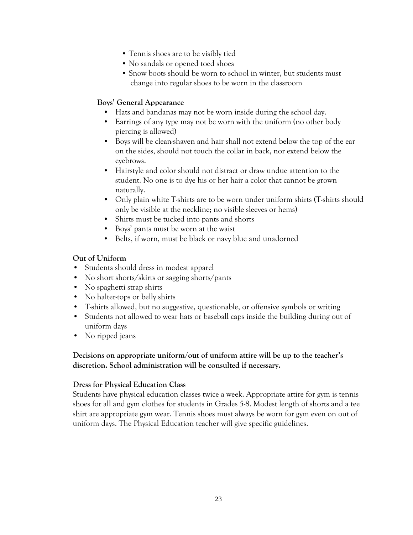- Tennis shoes are to be visibly tied
- No sandals or opened toed shoes
- Snow boots should be worn to school in winter, but students must change into regular shoes to be worn in the classroom

## **Boys' General Appearance**

- Hats and bandanas may not be worn inside during the school day.
- Earrings of any type may not be worn with the uniform (no other body piercing is allowed)
- Boys will be clean-shaven and hair shall not extend below the top of the ear on the sides, should not touch the collar in back, nor extend below the eyebrows.
- Hairstyle and color should not distract or draw undue attention to the student. No one is to dye his or her hair a color that cannot be grown naturally.
- Only plain white T-shirts are to be worn under uniform shirts (T-shirts should only be visible at the neckline; no visible sleeves or hems)
- Shirts must be tucked into pants and shorts
- Boys' pants must be worn at the waist
- Belts, if worn, must be black or navy blue and unadorned

### **Out of Uniform**

- Students should dress in modest apparel
- No short shorts/skirts or sagging shorts/pants
- No spaghetti strap shirts
- No halter-tops or belly shirts
- T-shirts allowed, but no suggestive, questionable, or offensive symbols or writing
- Students not allowed to wear hats or baseball caps inside the building during out of uniform days
- No ripped jeans

## **Decisions on appropriate uniform/out of uniform attire will be up to the teacher's discretion. School administration will be consulted if necessary.**

#### **Dress for Physical Education Class**

Students have physical education classes twice a week. Appropriate attire for gym is tennis shoes for all and gym clothes for students in Grades 5-8. Modest length of shorts and a tee shirt are appropriate gym wear. Tennis shoes must always be worn for gym even on out of uniform days. The Physical Education teacher will give specific guidelines.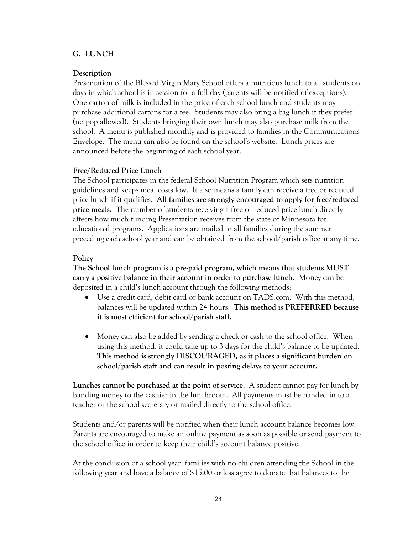#### <span id="page-25-0"></span>**G. LUNCH**

#### **Description**

Presentation of the Blessed Virgin Mary School offers a nutritious lunch to all students on days in which school is in session for a full day (parents will be notified of exceptions). One carton of milk is included in the price of each school lunch and students may purchase additional cartons for a fee. Students may also bring a bag lunch if they prefer (no pop allowed). Students bringing their own lunch may also purchase milk from the school. A menu is published monthly and is provided to families in the Communications Envelope. The menu can also be found on the school's website. Lunch prices are announced before the beginning of each school year.

#### **Free/Reduced Price Lunch**

The School participates in the federal School Nutrition Program which sets nutrition guidelines and keeps meal costs low. It also means a family can receive a free or reduced price lunch if it qualifies. **All families are strongly encouraged to apply for free/reduced price meals.** The number of students receiving a free or reduced price lunch directly affects how much funding Presentation receives from the state of Minnesota for educational programs. Applications are mailed to all families during the summer preceding each school year and can be obtained from the school/parish office at any time.

#### **Policy**

**The School lunch program is a pre-paid program, which means that students MUST carry a positive balance in their account in order to purchase lunch.** Money can be deposited in a child's lunch account through the following methods:

- Use a credit card, debit card or bank account on TADS.com. With this method, balances will be updated within 24 hours. **This method is PREFERRED because it is most efficient for school/parish staff.**
- Money can also be added by sending a check or cash to the school office. When using this method, it could take up to 3 days for the child's balance to be updated. **This method is strongly DISCOURAGED, as it places a significant burden on school/parish staff and can result in posting delays to your account.**

**Lunches cannot be purchased at the point of service.** A student cannot pay for lunch by handing money to the cashier in the lunchroom. All payments must be handed in to a teacher or the school secretary or mailed directly to the school office.

Students and/or parents will be notified when their lunch account balance becomes low. Parents are encouraged to make an online payment as soon as possible or send payment to the school office in order to keep their child's account balance positive.

At the conclusion of a school year, families with no children attending the School in the following year and have a balance of \$15.00 or less agree to donate that balances to the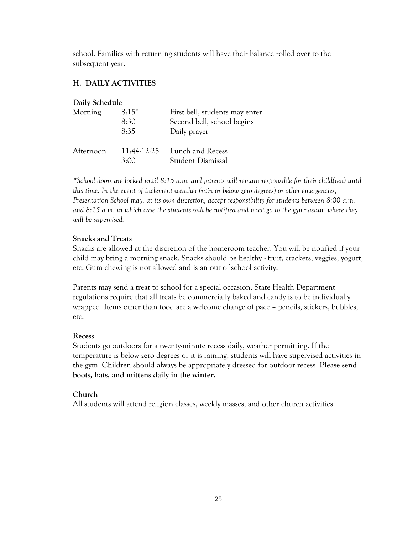school. Families with returning students will have their balance rolled over to the subsequent year.

## <span id="page-26-0"></span>**H. DAILY ACTIVITIES**

## **Daily Schedule**

| Morning   | $8:15*$<br>8:30<br>8:35 | First bell, students may enter<br>Second bell, school begins<br>Daily prayer |
|-----------|-------------------------|------------------------------------------------------------------------------|
| Afternoon | 3.00                    | 11:44-12:25 Lunch and Recess<br>Student Dismissal                            |

*\*School doors are locked until 8:15 a.m. and parents will remain responsible for their child(ren) until this time. In the event of inclement weather (rain or below zero degrees) or other emergencies, Presentation School may, at its own discretion, accept responsibility for students between* 8:00 a.m. *and 8:15 a.m. in which case the students will be notified and must go to the gymnasium where they will be supervised.*

### **Snacks and Treats**

Snacks are allowed at the discretion of the homeroom teacher. You will be notified if your child may bring a morning snack. Snacks should be healthy - fruit, crackers, veggies, yogurt, etc. Gum chewing is not allowed and is an out of school activity.

Parents may send a treat to school for a special occasion. State Health Department regulations require that all treats be commercially baked and candy is to be individually wrapped. Items other than food are a welcome change of pace – pencils, stickers, bubbles, etc.

## **Recess**

Students go outdoors for a twenty-minute recess daily, weather permitting. If the temperature is below zero degrees or it is raining, students will have supervised activities in the gym. Children should always be appropriately dressed for outdoor recess. **Please send boots, hats, and mittens daily in the winter.**

## **Church**

All students will attend religion classes, weekly masses, and other church activities.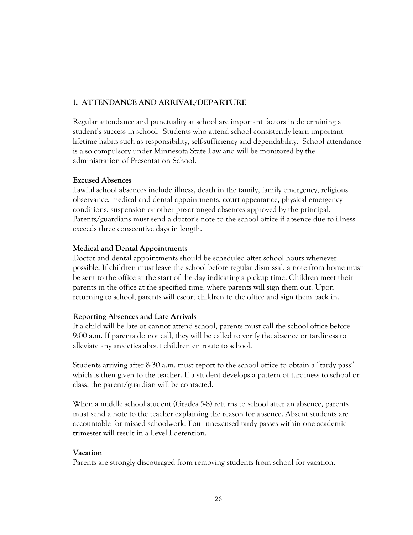## <span id="page-27-0"></span>**I. ATTENDANCE AND ARRIVAL/DEPARTURE**

Regular attendance and punctuality at school are important factors in determining a student's success in school. Students who attend school consistently learn important lifetime habits such as responsibility, self-sufficiency and dependability. School attendance is also compulsory under Minnesota State Law and will be monitored by the administration of Presentation School.

### **Excused Absences**

Lawful school absences include illness, death in the family, family emergency, religious observance, medical and dental appointments, court appearance, physical emergency conditions, suspension or other pre-arranged absences approved by the principal. Parents/guardians must send a doctor's note to the school office if absence due to illness exceeds three consecutive days in length.

### **Medical and Dental Appointments**

Doctor and dental appointments should be scheduled after school hours whenever possible. If children must leave the school before regular dismissal, a note from home must be sent to the office at the start of the day indicating a pickup time. Children meet their parents in the office at the specified time, where parents will sign them out. Upon returning to school, parents will escort children to the office and sign them back in.

## **Reporting Absences and Late Arrivals**

If a child will be late or cannot attend school, parents must call the school office before 9:00 a.m. If parents do not call, they will be called to verify the absence or tardiness to alleviate any anxieties about children en route to school.

Students arriving after 8:30 a.m. must report to the school office to obtain a "tardy pass" which is then given to the teacher. If a student develops a pattern of tardiness to school or class, the parent/guardian will be contacted.

When a middle school student (Grades 5-8) returns to school after an absence, parents must send a note to the teacher explaining the reason for absence. Absent students are accountable for missed schoolwork. Four unexcused tardy passes within one academic trimester will result in a Level I detention.

## **Vacation**

Parents are strongly discouraged from removing students from school for vacation.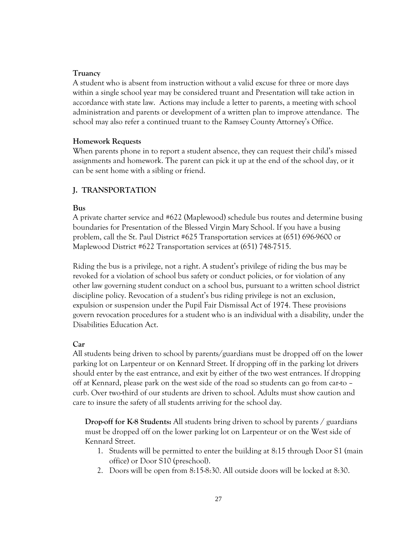#### **Truancy**

A student who is absent from instruction without a valid excuse for three or more days within a single school year may be considered truant and Presentation will take action in accordance with state law. Actions may include a letter to parents, a meeting with school administration and parents or development of a written plan to improve attendance. The school may also refer a continued truant to the Ramsey County Attorney's Office.

#### **Homework Requests**

When parents phone in to report a student absence, they can request their child's missed assignments and homework. The parent can pick it up at the end of the school day, or it can be sent home with a sibling or friend.

#### <span id="page-28-0"></span>**J. TRANSPORTATION**

#### **Bus**

A private charter service and #622 (Maplewood) schedule bus routes and determine busing boundaries for Presentation of the Blessed Virgin Mary School. If you have a busing problem, call the St. Paul District #625 Transportation services at (651) 696-9600 or Maplewood District #622 Transportation services at (651) 748-7515.

Riding the bus is a privilege, not a right. A student's privilege of riding the bus may be revoked for a violation of school bus safety or conduct policies, or for violation of any other law governing student conduct on a school bus, pursuant to a written school district discipline policy. Revocation of a student's bus riding privilege is not an exclusion, expulsion or suspension under the Pupil Fair Dismissal Act of 1974. These provisions govern revocation procedures for a student who is an individual with a disability, under the Disabilities Education Act.

#### **Car**

All students being driven to school by parents/guardians must be dropped off on the lower parking lot on Larpenteur or on Kennard Street. If dropping off in the parking lot drivers should enter by the east entrance, and exit by either of the two west entrances. If dropping off at Kennard, please park on the west side of the road so students can go from car-to – curb. Over two-third of our students are driven to school. Adults must show caution and care to insure the safety of all students arriving for the school day.

**Drop-off for K-8 Students:** All students bring driven to school by parents / guardians must be dropped off on the lower parking lot on Larpenteur or on the West side of Kennard Street.

- 1. Students will be permitted to enter the building at 8:15 through Door S1 (main office) or Door S10 (preschool).
- 2. Doors will be open from 8:15-8:30. All outside doors will be locked at 8:30.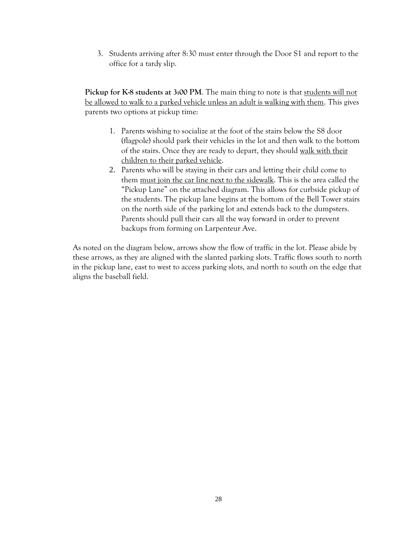3. Students arriving after 8:30 must enter through the Door S1 and report to the office for a tardy slip.

**Pickup for K-8 students at 3:00 PM.** The main thing to note is that students will not be allowed to walk to a parked vehicle unless an adult is walking with them. This gives parents two options at pickup time:

- 1. Parents wishing to socialize at the foot of the stairs below the S8 door (flagpole) should park their vehicles in the lot and then walk to the bottom of the stairs. Once they are ready to depart, they should walk with their children to their parked vehicle.
- 2. Parents who will be staying in their cars and letting their child come to them must join the car line next to the sidewalk. This is the area called the "Pickup Lane" on the attached diagram. This allows for curbside pickup of the students. The pickup lane begins at the bottom of the Bell Tower stairs on the north side of the parking lot and extends back to the dumpsters. Parents should pull their cars all the way forward in order to prevent backups from forming on Larpenteur Ave.

As noted on the diagram below, arrows show the flow of traffic in the lot. Please abide by these arrows, as they are aligned with the slanted parking slots. Traffic flows south to north in the pickup lane, east to west to access parking slots, and north to south on the edge that aligns the baseball field.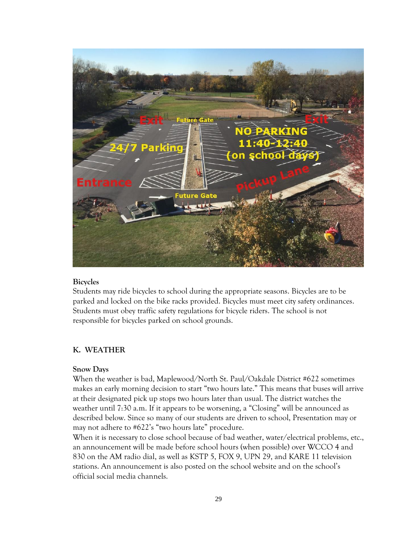

#### **Bicycles**

Students may ride bicycles to school during the appropriate seasons. Bicycles are to be parked and locked on the bike racks provided. Bicycles must meet city safety ordinances. Students must obey traffic safety regulations for bicycle riders. The school is not responsible for bicycles parked on school grounds.

## <span id="page-30-0"></span>**K. WEATHER**

#### **Snow Days**

When the weather is bad, Maplewood/North St. Paul/Oakdale District #622 sometimes makes an early morning decision to start "two hours late." This means that buses will arrive at their designated pick up stops two hours later than usual. The district watches the weather until 7:30 a.m. If it appears to be worsening, a "Closing" will be announced as described below. Since so many of our students are driven to school, Presentation may or may not adhere to #622's "two hours late" procedure.

When it is necessary to close school because of bad weather, water/electrical problems, etc., an announcement will be made before school hours (when possible) over WCCO 4 and 830 on the AM radio dial, as well as KSTP 5, FOX 9, UPN 29, and KARE 11 television stations. An announcement is also posted on the school website and on the school's official social media channels.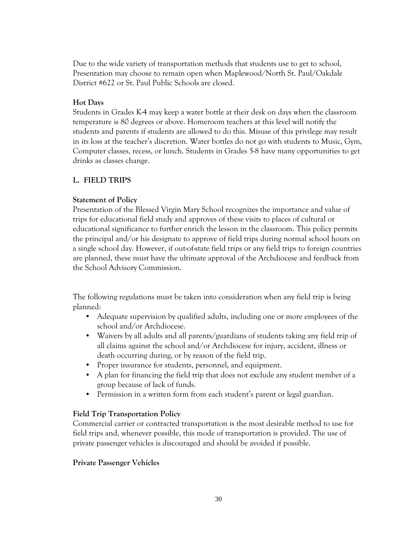Due to the wide variety of transportation methods that students use to get to school, Presentation may choose to remain open when Maplewood/North St. Paul/Oakdale District #622 or St. Paul Public Schools are closed.

## **Hot Days**

Students in Grades K-4 may keep a water bottle at their desk on days when the classroom temperature is 80 degrees or above. Homeroom teachers at this level will notify the students and parents if students are allowed to do this. Misuse of this privilege may result in its loss at the teacher's discretion. Water bottles do not go with students to Music, Gym, Computer classes, recess, or lunch. Students in Grades 5-8 have many opportunities to get drinks as classes change.

## <span id="page-31-0"></span>**L. FIELD TRIPS**

### **Statement of Policy**

Presentation of the Blessed Virgin Mary School recognizes the importance and value of trips for educational field study and approves of these visits to places of cultural or educational significance to further enrich the lesson in the classroom. This policy permits the principal and/or his designate to approve of field trips during normal school hours on a single school day. However, if out-of-state field trips or any field trips to foreign countries are planned, these must have the ultimate approval of the Archdiocese and feedback from the School Advisory Commission.

The following regulations must be taken into consideration when any field trip is being planned:

- Adequate supervision by qualified adults, including one or more employees of the school and/or Archdiocese.
- Waivers by all adults and all parents/guardians of students taking any field trip of all claims against the school and/or Archdiocese for injury, accident, illness or death occurring during, or by reason of the field trip.
- Proper insurance for students, personnel, and equipment.
- A plan for financing the field trip that does not exclude any student member of a group because of lack of funds.
- Permission in a written form from each student's parent or legal guardian.

## **Field Trip Transportation Policy**

Commercial carrier or contracted transportation is the most desirable method to use for field trips and, whenever possible, this mode of transportation is provided. The use of private passenger vehicles is discouraged and should be avoided if possible.

#### **Private Passenger Vehicles**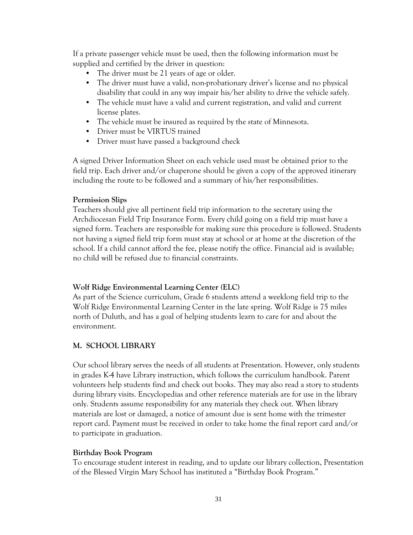If a private passenger vehicle must be used, then the following information must be supplied and certified by the driver in question:

- The driver must be 21 years of age or older.
- The driver must have a valid, non-probationary driver's license and no physical disability that could in any way impair his/her ability to drive the vehicle safely.
- The vehicle must have a valid and current registration, and valid and current license plates.
- The vehicle must be insured as required by the state of Minnesota.
- Driver must be VIRTUS trained
- Driver must have passed a background check

A signed Driver Information Sheet on each vehicle used must be obtained prior to the field trip. Each driver and/or chaperone should be given a copy of the approved itinerary including the route to be followed and a summary of his/her responsibilities.

## **Permission Slips**

Teachers should give all pertinent field trip information to the secretary using the Archdiocesan Field Trip Insurance Form. Every child going on a field trip must have a signed form. Teachers are responsible for making sure this procedure is followed. Students not having a signed field trip form must stay at school or at home at the discretion of the school. If a child cannot afford the fee, please notify the office. Financial aid is available; no child will be refused due to financial constraints.

## **Wolf Ridge Environmental Learning Center (ELC)**

As part of the Science curriculum, Grade 6 students attend a weeklong field trip to the Wolf Ridge Environmental Learning Center in the late spring. Wolf Ridge is 75 miles north of Duluth, and has a goal of helping students learn to care for and about the environment.

## <span id="page-32-0"></span>**M. SCHOOL LIBRARY**

Our school library serves the needs of all students at Presentation. However, only students in grades K-4 have Library instruction, which follows the curriculum handbook. Parent volunteers help students find and check out books. They may also read a story to students during library visits. Encyclopedias and other reference materials are for use in the library only. Students assume responsibility for any materials they check out. When library materials are lost or damaged, a notice of amount due is sent home with the trimester report card. Payment must be received in order to take home the final report card and/or to participate in graduation.

## **Birthday Book Program**

To encourage student interest in reading, and to update our library collection, Presentation of the Blessed Virgin Mary School has instituted a "Birthday Book Program."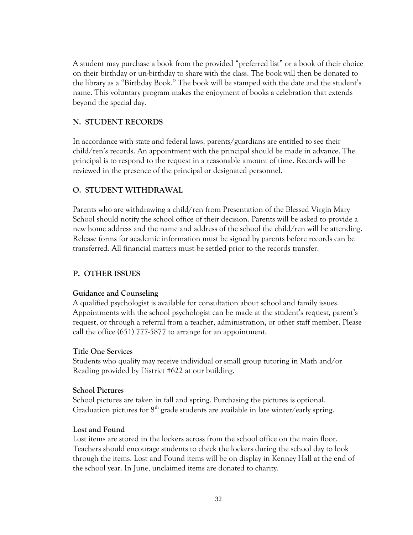A student may purchase a book from the provided "preferred list" or a book of their choice on their birthday or un-birthday to share with the class. The book will then be donated to the library as a "Birthday Book." The book will be stamped with the date and the student's name. This voluntary program makes the enjoyment of books a celebration that extends beyond the special day.

## <span id="page-33-0"></span>**N. STUDENT RECORDS**

In accordance with state and federal laws, parents/guardians are entitled to see their child/ren's records. An appointment with the principal should be made in advance. The principal is to respond to the request in a reasonable amount of time. Records will be reviewed in the presence of the principal or designated personnel.

### <span id="page-33-1"></span>**O. STUDENT WITHDRAWAL**

Parents who are withdrawing a child/ren from Presentation of the Blessed Virgin Mary School should notify the school office of their decision. Parents will be asked to provide a new home address and the name and address of the school the child/ren will be attending. Release forms for academic information must be signed by parents before records can be transferred. All financial matters must be settled prior to the records transfer.

## <span id="page-33-2"></span>**P. OTHER ISSUES**

#### **Guidance and Counseling**

A qualified psychologist is available for consultation about school and family issues. Appointments with the school psychologist can be made at the student's request, parent's request, or through a referral from a teacher, administration, or other staff member. Please call the office (651) 777-5877 to arrange for an appointment.

#### **Title One Services**

Students who qualify may receive individual or small group tutoring in Math and/or Reading provided by District #622 at our building.

#### **School Pictures**

School pictures are taken in fall and spring. Purchasing the pictures is optional. Graduation pictures for  $8<sup>th</sup>$  grade students are available in late winter/early spring.

#### **Lost and Found**

Lost items are stored in the lockers across from the school office on the main floor. Teachers should encourage students to check the lockers during the school day to look through the items. Lost and Found items will be on display in Kenney Hall at the end of the school year. In June, unclaimed items are donated to charity.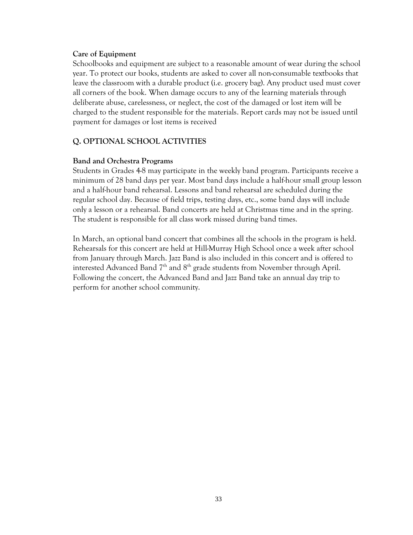#### **Care of Equipment**

Schoolbooks and equipment are subject to a reasonable amount of wear during the school year. To protect our books, students are asked to cover all non-consumable textbooks that leave the classroom with a durable product (i.e. grocery bag). Any product used must cover all corners of the book. When damage occurs to any of the learning materials through deliberate abuse, carelessness, or neglect, the cost of the damaged or lost item will be charged to the student responsible for the materials. Report cards may not be issued until payment for damages or lost items is received

## **Q. OPTIONAL SCHOOL ACTIVITIES**

#### **Band and Orchestra Programs**

Students in Grades 4-8 may participate in the weekly band program. Participants receive a minimum of 28 band days per year. Most band days include a half-hour small group lesson and a half-hour band rehearsal. Lessons and band rehearsal are scheduled during the regular school day. Because of field trips, testing days, etc., some band days will include only a lesson or a rehearsal. Band concerts are held at Christmas time and in the spring. The student is responsible for all class work missed during band times.

In March, an optional band concert that combines all the schools in the program is held. Rehearsals for this concert are held at Hill-Murray High School once a week after school from January through March. Jazz Band is also included in this concert and is offered to interested Advanced Band 7<sup>th</sup> and 8<sup>th</sup> grade students from November through April. Following the concert, the Advanced Band and Jazz Band take an annual day trip to perform for another school community.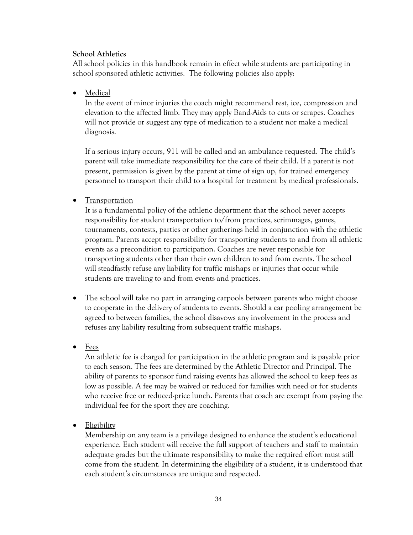#### **School Athletics**

All school policies in this handbook remain in effect while students are participating in school sponsored athletic activities. The following policies also apply:

• Medical

In the event of minor injuries the coach might recommend rest, ice, compression and elevation to the affected limb. They may apply Band-Aids to cuts or scrapes. Coaches will not provide or suggest any type of medication to a student nor make a medical diagnosis.

If a serious injury occurs, 911 will be called and an ambulance requested. The child's parent will take immediate responsibility for the care of their child. If a parent is not present, permission is given by the parent at time of sign up, for trained emergency personnel to transport their child to a hospital for treatment by medical professionals.

## • Transportation

It is a fundamental policy of the athletic department that the school never accepts responsibility for student transportation to/from practices, scrimmages, games, tournaments, contests, parties or other gatherings held in conjunction with the athletic program. Parents accept responsibility for transporting students to and from all athletic events as a precondition to participation. Coaches are never responsible for transporting students other than their own children to and from events. The school will steadfastly refuse any liability for traffic mishaps or injuries that occur while students are traveling to and from events and practices.

- The school will take no part in arranging carpools between parents who might choose to cooperate in the delivery of students to events. Should a car pooling arrangement be agreed to between families, the school disavows any involvement in the process and refuses any liability resulting from subsequent traffic mishaps.
- Fees

An athletic fee is charged for participation in the athletic program and is payable prior to each season. The fees are determined by the Athletic Director and Principal. The ability of parents to sponsor fund raising events has allowed the school to keep fees as low as possible. A fee may be waived or reduced for families with need or for students who receive free or reduced-price lunch. Parents that coach are exempt from paying the individual fee for the sport they are coaching.

• Eligibility

Membership on any team is a privilege designed to enhance the student's educational experience. Each student will receive the full support of teachers and staff to maintain adequate grades but the ultimate responsibility to make the required effort must still come from the student. In determining the eligibility of a student, it is understood that each student's circumstances are unique and respected.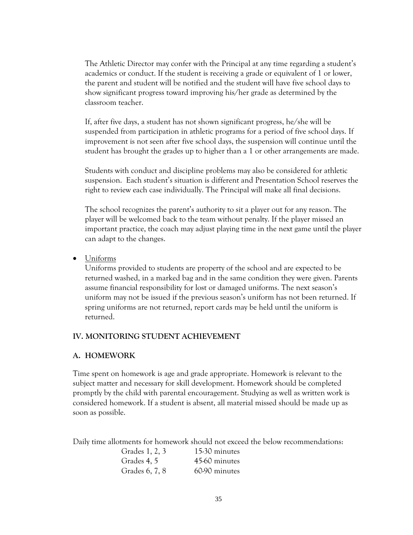The Athletic Director may confer with the Principal at any time regarding a student's academics or conduct. If the student is receiving a grade or equivalent of 1 or lower, the parent and student will be notified and the student will have five school days to show significant progress toward improving his/her grade as determined by the classroom teacher.

If, after five days, a student has not shown significant progress, he/she will be suspended from participation in athletic programs for a period of five school days. If improvement is not seen after five school days, the suspension will continue until the student has brought the grades up to higher than a 1 or other arrangements are made.

Students with conduct and discipline problems may also be considered for athletic suspension. Each student's situation is different and Presentation School reserves the right to review each case individually. The Principal will make all final decisions.

The school recognizes the parent's authority to sit a player out for any reason. The player will be welcomed back to the team without penalty. If the player missed an important practice, the coach may adjust playing time in the next game until the player can adapt to the changes.

Uniforms

Uniforms provided to students are property of the school and are expected to be returned washed, in a marked bag and in the same condition they were given. Parents assume financial responsibility for lost or damaged uniforms. The next season's uniform may not be issued if the previous season's uniform has not been returned. If spring uniforms are not returned, report cards may be held until the uniform is returned.

## <span id="page-36-0"></span>**IV. MONITORING STUDENT ACHIEVEMENT**

## <span id="page-36-1"></span>**A. HOMEWORK**

Time spent on homework is age and grade appropriate. Homework is relevant to the subject matter and necessary for skill development. Homework should be completed promptly by the child with parental encouragement. Studying as well as written work is considered homework. If a student is absent, all material missed should be made up as soon as possible.

Daily time allotments for homework should not exceed the below recommendations:

| Grades 1, 2, 3 | 15-30 minutes |
|----------------|---------------|
| Grades 4, 5    | 45-60 minutes |
| Grades 6, 7, 8 | 60-90 minutes |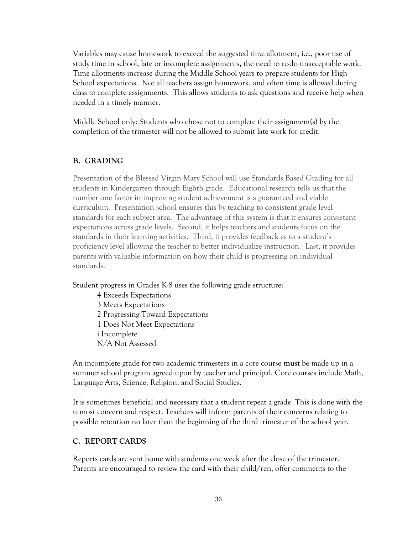Variables may cause homework to exceed the suggested time allotment, i.e., poor use of study time in school, late or incomplete assignments, the need to re-do unacceptable work. Time allotments increase during the Middle School years to prepare students for High School expectations. Not all teachers assign homework, and often time is allowed during class to complete assignments. This allows students to ask questions and receive help when needed in a timely manner.

Middle School only: Students who chose not to complete their assignment(s) by the completion of the trimester will not be allowed to submit late work for credit.

### <span id="page-37-0"></span>**B. GRADING**

Presentation of the Blessed Virgin Mary School will use Standards Based Grading for all students in Kindergarten through Eighth grade. Educational research tells us that the number one factor in improving student achievement is a guaranteed and viable curriculum. Presentation school ensures this by teaching to consistent grade level standards for each subject area. The advantage of this system is that it ensures consistent expectations across grade levels. Second, it helps teachers and students focus on the standards in their learning activities. Third, it provides feedback as to a student's proficiency level allowing the teacher to better individualize instruction. Last, it provides parents with valuable information on how their child is progressing on individual standards.

Student progress in Grades K-8 uses the following grade structure:

4 Exceeds Expectations 3 Meets Expectations 2 Progressing Toward Expectations 1 Does Not Meet Expectations i Incomplete N/A Not Assessed

An incomplete grade for two academic trimesters in a core course **must** be made up in a summer school program agreed upon by teacher and principal. Core courses include Math, Language Arts, Science, Religion, and Social Studies.

It is sometimes beneficial and necessary that a student repeat a grade. This is done with the utmost concern and respect. Teachers will inform parents of their concerns relating to possible retention no later than the beginning of the third trimester of the school year.

## <span id="page-37-1"></span>**C. REPORT CARDS**

Reports cards are sent home with students one week after the close of the trimester. Parents are encouraged to review the card with their child/ren, offer comments to the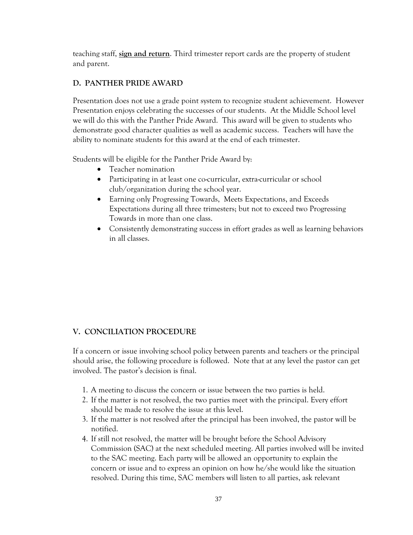teaching staff, **sign and return**. Third trimester report cards are the property of student and parent.

## <span id="page-38-0"></span>**D. PANTHER PRIDE AWARD**

Presentation does not use a grade point system to recognize student achievement. However Presentation enjoys celebrating the successes of our students. At the Middle School level we will do this with the Panther Pride Award. This award will be given to students who demonstrate good character qualities as well as academic success. Teachers will have the ability to nominate students for this award at the end of each trimester.

Students will be eligible for the Panther Pride Award by:

- Teacher nomination
- Participating in at least one co-curricular, extra-curricular or school club/organization during the school year.
- Earning only Progressing Towards, Meets Expectations, and Exceeds Expectations during all three trimesters; but not to exceed two Progressing Towards in more than one class.
- Consistently demonstrating success in effort grades as well as learning behaviors in all classes.

## <span id="page-38-1"></span>**V. CONCILIATION PROCEDURE**

If a concern or issue involving school policy between parents and teachers or the principal should arise, the following procedure is followed. Note that at any level the pastor can get involved. The pastor's decision is final.

- 1. A meeting to discuss the concern or issue between the two parties is held.
- 2. If the matter is not resolved, the two parties meet with the principal. Every effort should be made to resolve the issue at this level.
- 3. If the matter is not resolved after the principal has been involved, the pastor will be notified.
- 4. If still not resolved, the matter will be brought before the School Advisory Commission (SAC) at the next scheduled meeting. All parties involved will be invited to the SAC meeting. Each party will be allowed an opportunity to explain the concern or issue and to express an opinion on how he/she would like the situation resolved. During this time, SAC members will listen to all parties, ask relevant